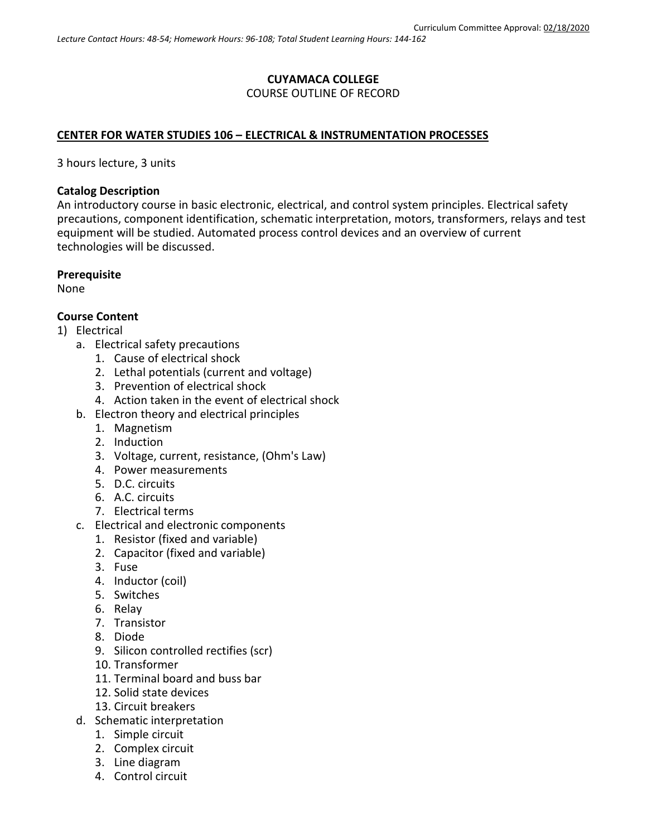# **CUYAMACA COLLEGE** COURSE OUTLINE OF RECORD

### **CENTER FOR WATER STUDIES 106 – ELECTRICAL & INSTRUMENTATION PROCESSES**

3 hours lecture, 3 units

#### **Catalog Description**

An introductory course in basic electronic, electrical, and control system principles. Electrical safety precautions, component identification, schematic interpretation, motors, transformers, relays and test equipment will be studied. Automated process control devices and an overview of current technologies will be discussed.

#### **Prerequisite**

None

### **Course Content**

- 1) Electrical
	- a. Electrical safety precautions
		- 1. Cause of electrical shock
		- 2. Lethal potentials (current and voltage)
		- 3. Prevention of electrical shock
		- 4. Action taken in the event of electrical shock
	- b. Electron theory and electrical principles
		- 1. Magnetism
		- 2. Induction
		- 3. Voltage, current, resistance, (Ohm's Law)
		- 4. Power measurements
		- 5. D.C. circuits
		- 6. A.C. circuits
		- 7. Electrical terms
	- c. Electrical and electronic components
		- 1. Resistor (fixed and variable)
		- 2. Capacitor (fixed and variable)
		- 3. Fuse
		- 4. Inductor (coil)
		- 5. Switches
		- 6. Relay
		- 7. Transistor
		- 8. Diode
		- 9. Silicon controlled rectifies (scr)
		- 10. Transformer
		- 11. Terminal board and buss bar
		- 12. Solid state devices
		- 13. Circuit breakers
	- d. Schematic interpretation
		- 1. Simple circuit
		- 2. Complex circuit
		- 3. Line diagram
		- 4. Control circuit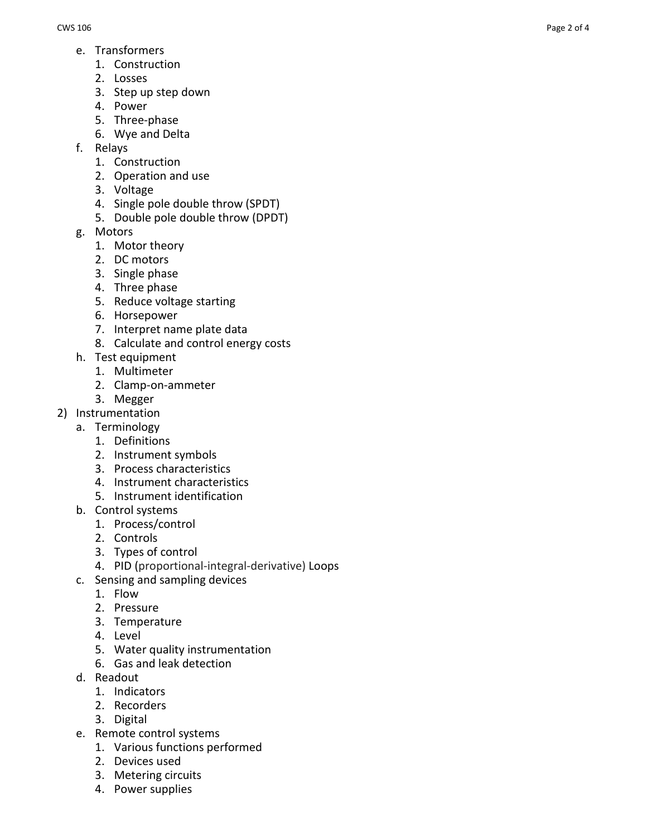- e. Transformers
	- 1. Construction
	- 2. Losses
	- 3. Step up step down
	- 4. Power
	- 5. Three -phase
	- 6. Wye and Delta
- f. Relays
	- 1. Construction
	- 2. Operation and use
	- 3. Voltage
	- 4. Single pole double throw (SPDT)
	- 5. Double pole double throw (DPDT)
- g. Motors
	- 1. Motor theory
	- 2. DC motors
	- 3. Single phase
	- 4. Three phase
	- 5. Reduce voltage starting
	- 6. Horsepower
	- 7. Interpret name plate data
	- 8. Calculate and control energy costs
- h. Test equipment
	- 1. Multimeter
	- 2. Clamp -on -ammeter
- 3. Megger
- 2) Instrumentation
	- a. Terminology
		- 1. Definitions
		- 2. Instrument symbols
		- 3. Process characteristics
		- 4. Instrument characteristics
		- 5. Instrument identification
	- b. Control systems
		- 1. Process/control
		- 2. Controls
		- 3. Types of control
		- 4. PID (proportional -integral -derivative) Loops
	- c. Sensing and sampling devices
		- 1. Flow
		- 2. Pressure
		- 3. Temperature
		- 4. Level
		- 5. Water quality instrumentation
		- 6. Gas and leak detection
	- d. Readout
		- 1. Indicators
		- 2. Recorders
		- 3. Digital
	- e. Remote control systems
		- 1. Various functions performed
		- 2. Devices used
		- 3. Metering circuits
		- 4. Power supplies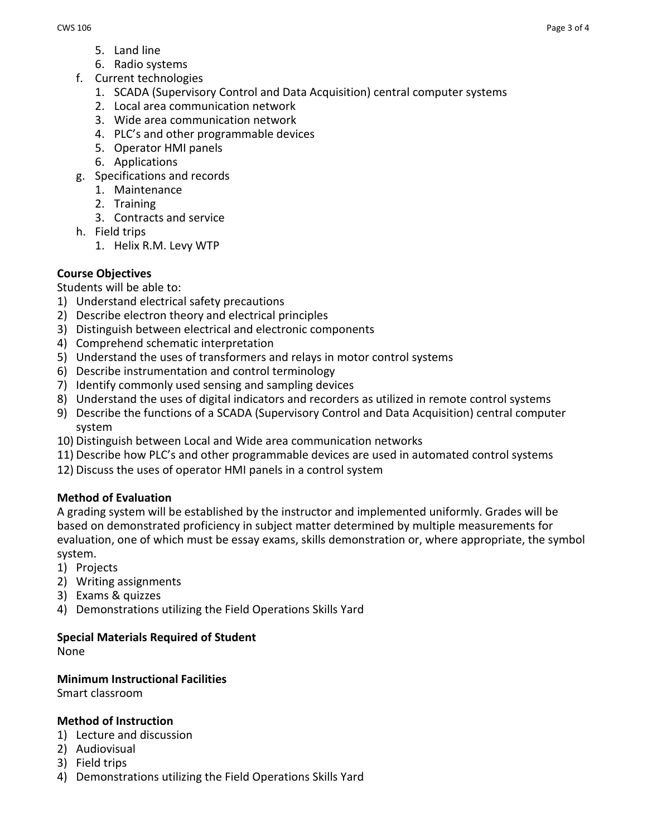- 5. Land line
- 6. Radio systems
- f. Current technologies
	- 1. SCADA (Supervisory Control and Data Acquisition) central computer systems
	- 2. Local area communication network
	- 3. Wide area communication network
	- 4. PLC's and other programmable devices
	- 5. Operator HMI panels
	- 6. Applications
- g. Specifications and records
	- 1. Maintenance
	- 2. Training
	- 3. Contracts and service
- h. Field trips
	- 1. Helix R.M. Levy WTP

## **Course Objectives**

Students will be able to:

- 1) Understand electrical safety precautions
- 2) Describe electron theory and electrical principles
- 3) Distinguish between electrical and electronic components
- 4) Comprehend schematic interpretation
- 5) Understand the uses of transformers and relays in motor control systems
- 6) Describe instrumentation and control terminology
- 7) Identify commonly used sensing and sampling devices
- 8) Understand the uses of digital indicators and recorders as utilized in remote control systems
- 9) Describe the functions of a SCADA (Supervisory Control and Data Acquisition) central computer system
- 10) Distinguish between Local and Wide area communication networks
- 11) Describe how PLC's and other programmable devices are used in automated control systems
- 12) Discuss the uses of operator HMI panels in a control system

## **Method of Evaluation**

A grading system will be established by the instructor and implemented uniformly. Grades will be based on demonstrated proficiency in subject matter determined by multiple measurements for evaluation, one of which must be essay exams, skills demonstration or, where appropriate, the symbol system.

- 1) Projects
- 2) Writing assignments
- 3) Exams & quizzes
- 4) Demonstrations utilizing the Field Operations Skills Yard

### **Special Materials Required of Student**

None

### **Minimum Instructional Facilities**

Smart classroom

### **Method of Instruction**

- 1) Lecture and discussion
- 2) Audiovisual
- 3) Field trips
- 4) Demonstrations utilizing the Field Operations Skills Yard